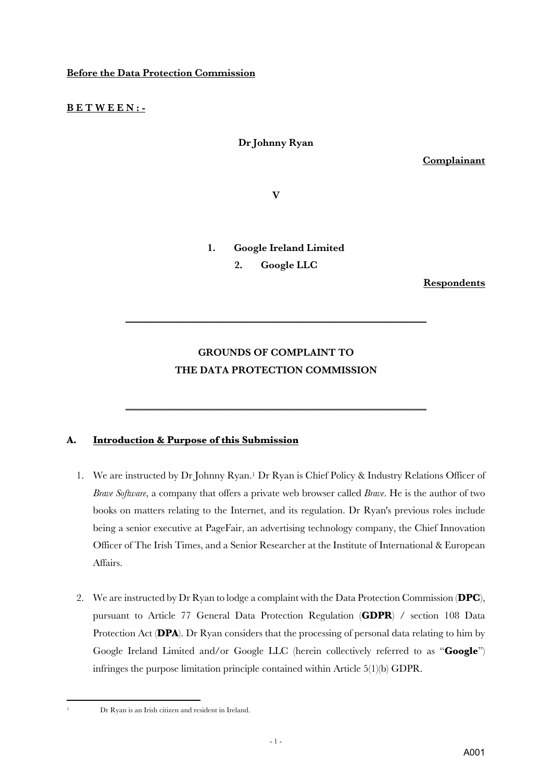## **Before the Data Protection Commission**

### **B E T W E E N : -**

## **Dr Johnny Ryan**

**Complainant**

**V** 

### **1. Google Ireland Limited**

**2. Google LLC**

**Respondents**

## **GROUNDS OF COMPLAINT TO THE DATA PROTECTION COMMISSION**

**\_\_\_\_\_\_\_\_\_\_\_\_\_\_\_\_\_\_\_\_\_\_\_\_\_\_\_\_\_\_\_\_\_\_\_\_\_\_\_\_\_\_\_\_\_\_\_\_\_\_\_\_\_\_\_\_\_\_\_**

**\_\_\_\_\_\_\_\_\_\_\_\_\_\_\_\_\_\_\_\_\_\_\_\_\_\_\_\_\_\_\_\_\_\_\_\_\_\_\_\_\_\_\_\_\_\_\_\_\_\_\_\_\_\_\_\_\_\_\_**

## **A. Introduction & Purpose of this Submission**

- 1. We are instructed by Dr Johnny Ryan.1 Dr Ryan is Chief Policy & Industry Relations Officer of *Brave Software*, a company that offers a private web browser called *Brave*. He is the author of two books on matters relating to the Internet, and its regulation. Dr Ryan's previous roles include being a senior executive at PageFair, an advertising technology company, the Chief Innovation Officer of The Irish Times, and a Senior Researcher at the Institute of International & European Affairs.
- 2. We are instructed by Dr Ryan to lodge a complaint with the Data Protection Commission (**DPC**), pursuant to Article 77 General Data Protection Regulation (**GDPR**) / section 108 Data Protection Act (**DPA**). Dr Ryan considers that the processing of personal data relating to him by Google Ireland Limited and/or Google LLC (herein collectively referred to as "**Google**") infringes the purpose limitation principle contained within Article 5(1)(b) GDPR.
- 

<sup>1</sup> Dr Ryan is an Irish citizen and resident in Ireland.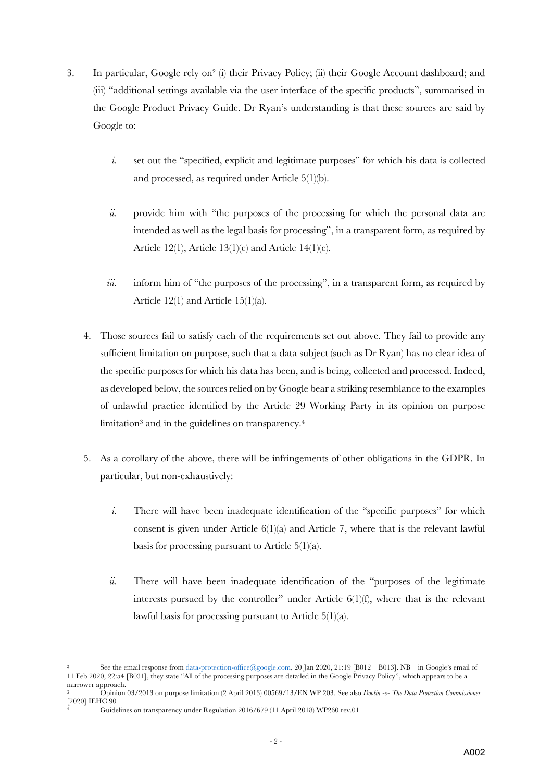- 3. In particular, Google rely on2 (i) their Privacy Policy; (ii) their Google Account dashboard; and (iii) "additional settings available via the user interface of the specific products", summarised in the Google Product Privacy Guide. Dr Ryan's understanding is that these sources are said by Google to:
	- *i.* set out the "specified, explicit and legitimate purposes" for which his data is collected and processed, as required under Article 5(1)(b).
	- *ii.* provide him with "the purposes of the processing for which the personal data are intended as well as the legal basis for processing", in a transparent form, as required by Article 12(1), Article 13(1)(c) and Article 14(1)(c).
	- *iii.* inform him of "the purposes of the processing", in a transparent form, as required by Article 12(1) and Article 15(1)(a).
	- 4. Those sources fail to satisfy each of the requirements set out above. They fail to provide any sufficient limitation on purpose, such that a data subject (such as Dr Ryan) has no clear idea of the specific purposes for which his data has been, and is being, collected and processed. Indeed, as developed below, the sources relied on by Google bear a striking resemblance to the examples of unlawful practice identified by the Article 29 Working Party in its opinion on purpose limitation<sup>3</sup> and in the guidelines on transparency.<sup>4</sup>
	- 5. As a corollary of the above, there will be infringements of other obligations in the GDPR. In particular, but non-exhaustively:
		- *i.* There will have been inadequate identification of the "specific purposes" for which consent is given under Article  $6(1)(a)$  and Article 7, where that is the relevant lawful basis for processing pursuant to Article 5(1)(a).
		- *ii.* There will have been inadequate identification of the "purposes of the legitimate" interests pursued by the controller" under Article  $6(1)(f)$ , where that is the relevant lawful basis for processing pursuant to Article 5(1)(a).

See the email response from data-protection-office@google.com, 20 Jan 2020, 21:19 [B012 – B013]. NB – in Google's email of 11 Feb 2020, 22:54 [B031], they state "All of the processing purposes are detailed in the Google Privacy Policy", which appears to be a narrower approach.

<sup>3</sup> Opinion 03/2013 on purpose limitation (2 April 2013) 00569/13/EN WP 203. See also *Doolin -v- The Data Protection Commissioner* [2020] IEHC 90

<sup>4</sup> Guidelines on transparency under Regulation 2016/679 (11 April 2018) WP260 rev.01.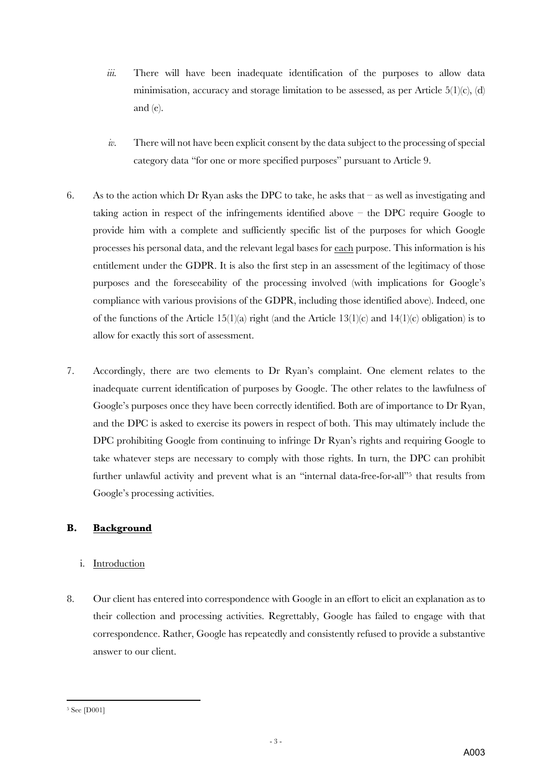- *iii.* There will have been inadequate identification of the purposes to allow data minimisation, accuracy and storage limitation to be assessed, as per Article  $5(1)(c)$ , (d) and (e).
- *iv.* There will not have been explicit consent by the data subject to the processing of special category data "for one or more specified purposes" pursuant to Article 9.
- 6. As to the action which Dr Ryan asks the DPC to take, he asks that  $-$  as well as investigating and taking action in respect of the infringements identified above – the DPC require Google to provide him with a complete and sufficiently specific list of the purposes for which Google processes his personal data, and the relevant legal bases for each purpose. This information is his entitlement under the GDPR. It is also the first step in an assessment of the legitimacy of those purposes and the foreseeability of the processing involved (with implications for Google's compliance with various provisions of the GDPR, including those identified above). Indeed, one of the functions of the Article 15(1)(a) right (and the Article 13(1)(c) and 14(1)(c) obligation) is to allow for exactly this sort of assessment.
- 7. Accordingly, there are two elements to Dr Ryan's complaint. One element relates to the inadequate current identification of purposes by Google. The other relates to the lawfulness of Google's purposes once they have been correctly identified. Both are of importance to Dr Ryan, and the DPC is asked to exercise its powers in respect of both. This may ultimately include the DPC prohibiting Google from continuing to infringe Dr Ryan's rights and requiring Google to take whatever steps are necessary to comply with those rights. In turn, the DPC can prohibit further unlawful activity and prevent what is an "internal data-free-for-all"<sup>5</sup> that results from Google's processing activities.

## **B. Background**

## i. Introduction

8. Our client has entered into correspondence with Google in an effort to elicit an explanation as to their collection and processing activities. Regrettably, Google has failed to engage with that correspondence. Rather, Google has repeatedly and consistently refused to provide a substantive answer to our client.

<sup>5</sup> See [D001]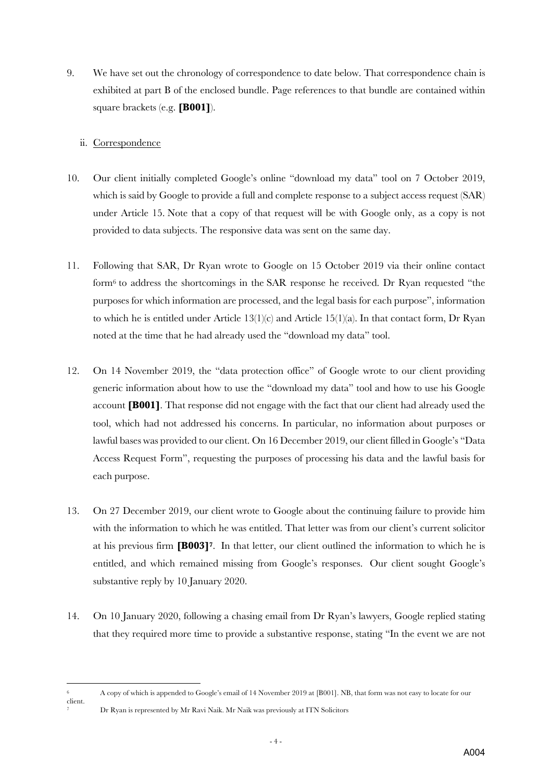9. We have set out the chronology of correspondence to date below. That correspondence chain is exhibited at part B of the enclosed bundle. Page references to that bundle are contained within square brackets (e.g. **[B001]**).

## ii. Correspondence

- 10. Our client initially completed Google's online "download my data" tool on 7 October 2019, which is said by Google to provide a full and complete response to a subject access request (SAR) under Article 15. Note that a copy of that request will be with Google only, as a copy is not provided to data subjects. The responsive data was sent on the same day.
- 11. Following that SAR, Dr Ryan wrote to Google on 15 October 2019 via their online contact form6 to address the shortcomings in the SAR response he received. Dr Ryan requested "the purposes for which information are processed, and the legal basis for each purpose", information to which he is entitled under Article  $13(1)(c)$  and Article  $15(1)(a)$ . In that contact form, Dr Ryan noted at the time that he had already used the "download my data" tool.
- 12. On 14 November 2019, the "data protection office" of Google wrote to our client providing generic information about how to use the "download my data" tool and how to use his Google account **[B001]**. That response did not engage with the fact that our client had already used the tool, which had not addressed his concerns. In particular, no information about purposes or lawful bases was provided to our client. On 16 December 2019, our client filled in Google's "Data Access Request Form", requesting the purposes of processing his data and the lawful basis for each purpose.
- 13. On 27 December 2019, our client wrote to Google about the continuing failure to provide him with the information to which he was entitled. That letter was from our client's current solicitor at his previous firm **[B003]7**. In that letter, our client outlined the information to which he is entitled, and which remained missing from Google's responses. Our client sought Google's substantive reply by 10 January 2020.
- 14. On 10 January 2020, following a chasing email from Dr Ryan's lawyers, Google replied stating that they required more time to provide a substantive response, stating "In the event we are not

<sup>6</sup> A copy of which is appended to Google's email of 14 November 2019 at [B001]. NB, that form was not easy to locate for our

client. <sup>7</sup> Dr Ryan is represented by Mr Ravi Naik. Mr Naik was previously at ITN Solicitors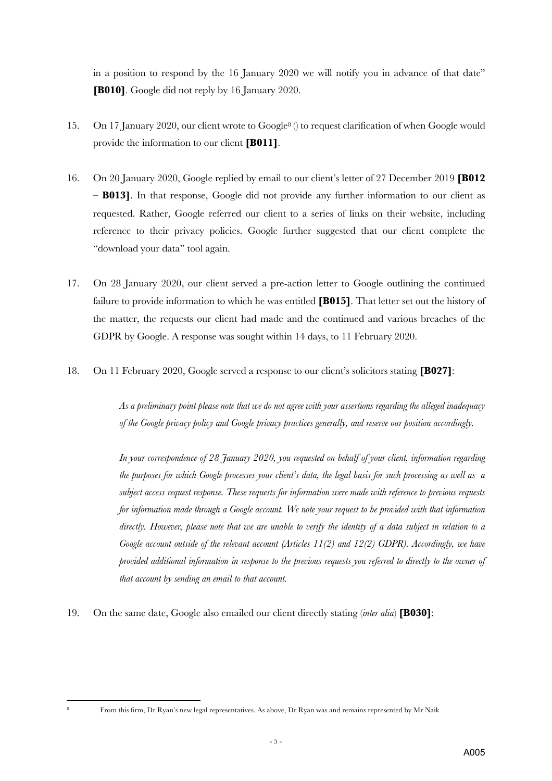in a position to respond by the 16 January 2020 we will notify you in advance of that date" **[B010]**. Google did not reply by 16 January 2020.

- 15. On 17 January 2020, our client wrote to Google8 () to request clarification of when Google would provide the information to our client **[B011]**.
- 16. On 20 January 2020, Google replied by email to our client's letter of 27 December 2019 **[B012 – B013]**. In that response, Google did not provide any further information to our client as requested. Rather, Google referred our client to a series of links on their website, including reference to their privacy policies. Google further suggested that our client complete the "download your data" tool again.
- 17. On 28 January 2020, our client served a pre-action letter to Google outlining the continued failure to provide information to which he was entitled **[B015]**. That letter set out the history of the matter, the requests our client had made and the continued and various breaches of the GDPR by Google. A response was sought within 14 days, to 11 February 2020.
- 18. On 11 February 2020, Google served a response to our client's solicitors stating **[B027]**:

*As a preliminary point please note that we do not agree with your assertions regarding the alleged inadequacy of the Google privacy policy and Google privacy practices generally, and reserve our position accordingly.* 

*In your correspondence of 28 January 2020, you requested on behalf of your client, information regarding the purposes for which Google processes your client's data, the legal basis for such processing as well as a subject access request response. These requests for information were made with reference to previous requests for information made through a Google account. We note your request to be provided with that information directly. However, please note that we are unable to verify the identity of a data subject in relation to a Google account outside of the relevant account (Articles 11(2) and 12(2) GDPR). Accordingly, we have provided additional information in response to the previous requests you referred to directly to the owner of that account by sending an email to that account.*

19. On the same date, Google also emailed our client directly stating (*inter alia*) **[B030]**:

<sup>8</sup> From this firm, Dr Ryan's new legal representatives. As above, Dr Ryan was and remains represented by Mr Naik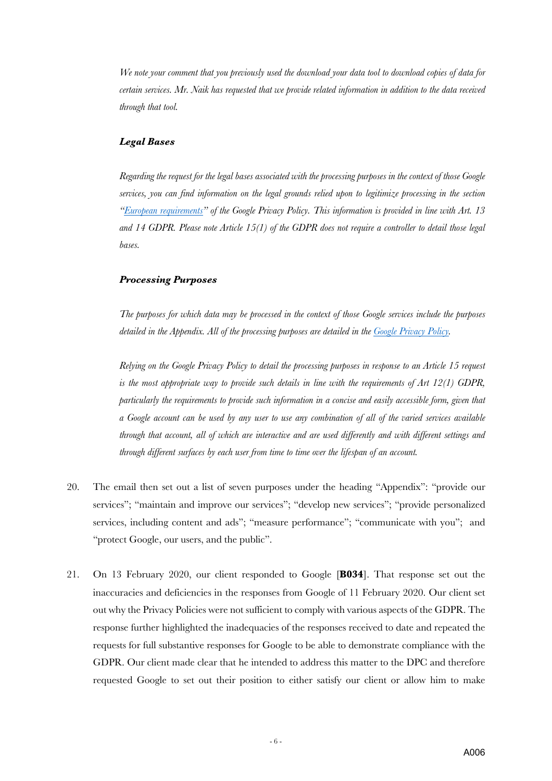*We note your comment that you previously used the download your data tool to download copies of data for certain services. Mr. Naik has requested that we provide related information in addition to the data received through that tool.* 

#### *Legal Bases*

*Regarding the request for the legal bases associated with the processing purposes in the context of those Google services, you can find information on the legal grounds relied upon to legitimize processing in the section "European requirements" of the Google Privacy Policy. This information is provided in line with Art. 13 and 14 GDPR. Please note Article 15(1) of the GDPR does not require a controller to detail those legal bases.*

#### *Processing Purposes*

*The purposes for which data may be processed in the context of those Google services include the purposes detailed in the Appendix. All of the processing purposes are detailed in the Google Privacy Policy.*

*Relying on the Google Privacy Policy to detail the processing purposes in response to an Article 15 request is the most appropriate way to provide such details in line with the requirements of Art 12(1) GDPR, particularly the requirements to provide such information in a concise and easily accessible form, given that a Google account can be used by any user to use any combination of all of the varied services available through that account, all of which are interactive and are used differently and with different settings and through different surfaces by each user from time to time over the lifespan of an account.*

- 20. The email then set out a list of seven purposes under the heading "Appendix": "provide our services"; "maintain and improve our services"; "develop new services"; "provide personalized services, including content and ads"; "measure performance"; "communicate with you"; and "protect Google, our users, and the public".
- 21. On 13 February 2020, our client responded to Google [**B034**]. That response set out the inaccuracies and deficiencies in the responses from Google of 11 February 2020. Our client set out why the Privacy Policies were not sufficient to comply with various aspects of the GDPR. The response further highlighted the inadequacies of the responses received to date and repeated the requests for full substantive responses for Google to be able to demonstrate compliance with the GDPR. Our client made clear that he intended to address this matter to the DPC and therefore requested Google to set out their position to either satisfy our client or allow him to make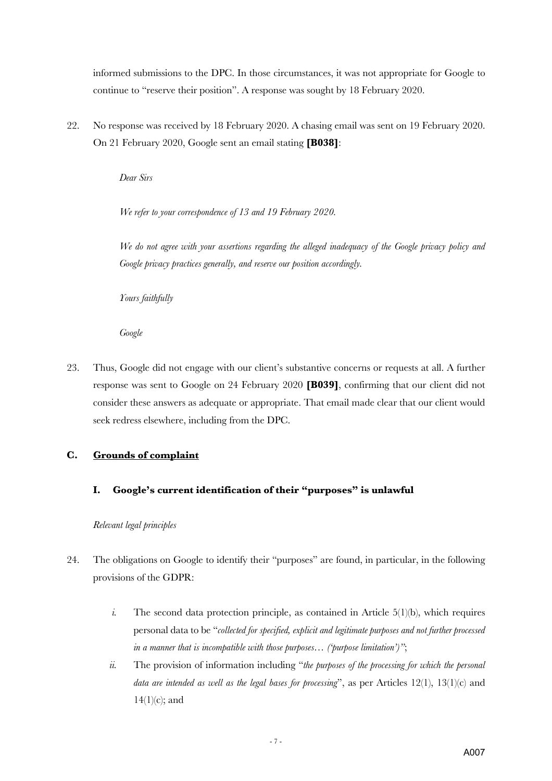informed submissions to the DPC. In those circumstances, it was not appropriate for Google to continue to "reserve their position". A response was sought by 18 February 2020.

22. No response was received by 18 February 2020. A chasing email was sent on 19 February 2020. On 21 February 2020, Google sent an email stating **[B038]**:

*Dear Sirs*

*We refer to your correspondence of 13 and 19 February 2020.* 

*We do not agree with your assertions regarding the alleged inadequacy of the Google privacy policy and Google privacy practices generally, and reserve our position accordingly.* 

*Yours faithfully*

*Google*

23. Thus, Google did not engage with our client's substantive concerns or requests at all. A further response was sent to Google on 24 February 2020 **[B039]**, confirming that our client did not consider these answers as adequate or appropriate. That email made clear that our client would seek redress elsewhere, including from the DPC.

## **C. Grounds of complaint**

**I. Google's current identification of their "purposes" is unlawful**

*Relevant legal principles*

- 24. The obligations on Google to identify their "purposes" are found, in particular, in the following provisions of the GDPR:
	- *i.* The second data protection principle, as contained in Article 5(1)(b), which requires personal data to be "*collected for specified, explicit and legitimate purposes and not further processed in a manner that is incompatible with those purposes… ('purpose limitation')"*;
	- *ii.* The provision of information including "*the purposes of the processing for which the personal data are intended as well as the legal bases for processing*", as per Articles 12(1), 13(1)(c) and  $14(1)(c)$ ; and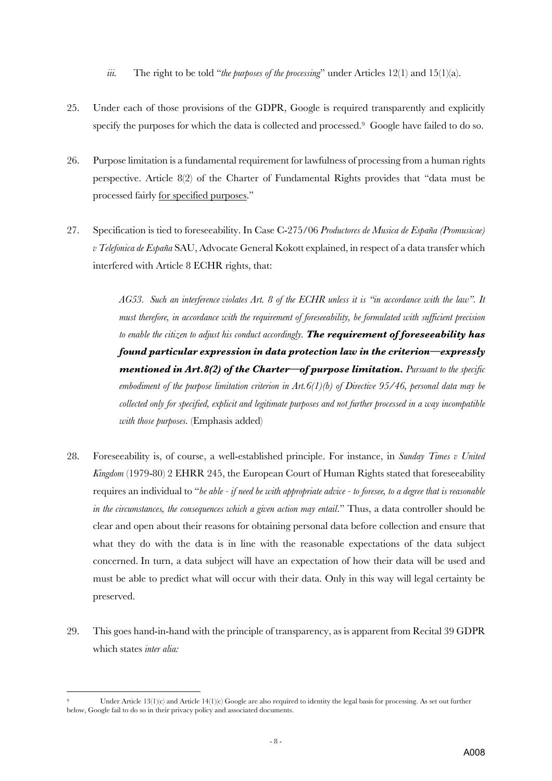*iii.* The right to be told "*the purposes of the processing*" under Articles 12(1) and 15(1)(a).

- 25. Under each of those provisions of the GDPR, Google is required transparently and explicitly specify the purposes for which the data is collected and processed.9 Google have failed to do so.
- 26. Purpose limitation is a fundamental requirement for lawfulness of processing from a human rights perspective. Article 8(2) of the Charter of Fundamental Rights provides that "data must be processed fairly for specified purposes."
- 27. Specification is tied to foreseeability. In Case C-275/06 *Productores de Musica de España (Promusicae) v Telefonica de España* SAU, Advocate General Kokott explained, in respect of a data transfer which interfered with Article 8 ECHR rights, that:

*AG53. Such an interference violates Art. 8 of the ECHR unless it is "in accordance with the law". It must therefore, in accordance with the requirement of foreseeability, be formulated with sufficient precision to enable the citizen to adjust his conduct accordingly. The requirement of foreseeability has found particular expression in data protection law in the criterion—expressly mentioned in Art.8(2) of the Charter—of purpose limitation. Pursuant to the specific embodiment of the purpose limitation criterion in Art.6(1)(b) of Directive 95/46, personal data may be collected only for specified, explicit and legitimate purposes and not further processed in a way incompatible with those purposes.* (Emphasis added)

- 28. Foreseeability is, of course, a well-established principle. For instance, in *Sunday Times v United Kingdom* (1979-80) 2 EHRR 245, the European Court of Human Rights stated that foreseeability requires an individual to "*be able - if need be with appropriate advice - to foresee, to a degree that is reasonable in the circumstances, the consequences which a given action may entail.*" Thus, a data controller should be clear and open about their reasons for obtaining personal data before collection and ensure that what they do with the data is in line with the reasonable expectations of the data subject concerned. In turn, a data subject will have an expectation of how their data will be used and must be able to predict what will occur with their data. Only in this way will legal certainty be preserved.
- 29. This goes hand-in-hand with the principle of transparency, as is apparent from Recital 39 GDPR which states *inter alia:*

Under Article 13(1)(c) and Article 14(1)(c) Google are also required to identity the legal basis for processing. As set out further below, Google fail to do so in their privacy policy and associated documents.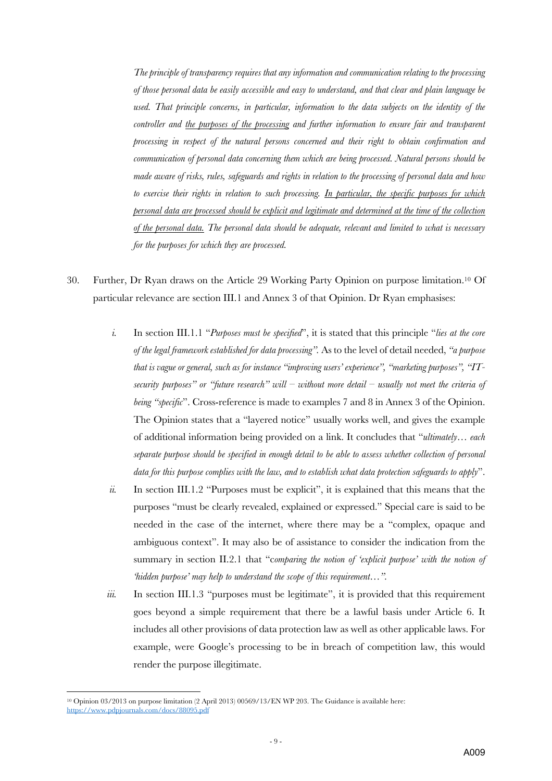*The principle of transparency requires that any information and communication relating to the processing of those personal data be easily accessible and easy to understand, and that clear and plain language be used. That principle concerns, in particular, information to the data subjects on the identity of the controller and the purposes of the processing and further information to ensure fair and transparent processing in respect of the natural persons concerned and their right to obtain confirmation and communication of personal data concerning them which are being processed. Natural persons should be made aware of risks, rules, safeguards and rights in relation to the processing of personal data and how to exercise their rights in relation to such processing. In particular, the specific purposes for which personal data are processed should be explicit and legitimate and determined at the time of the collection of the personal data. The personal data should be adequate, relevant and limited to what is necessary for the purposes for which they are processed.*

- 30. Further, Dr Ryan draws on the Article 29 Working Party Opinion on purpose limitation.10 Of particular relevance are section III.1 and Annex 3 of that Opinion. Dr Ryan emphasises:
	- *i.* In section III.1.1 "*Purposes must be specified*", it is stated that this principle "*lies at the core of the legal framework established for data processing".* As to the level of detail needed, *"a purpose that is vague or general, such as for instance "improving users' experience", "marketing purposes", "ITsecurity purposes" or "future research" will – without more detail – usually not meet the criteria of being "specific"*. Cross-reference is made to examples 7 and 8 in Annex 3 of the Opinion. The Opinion states that a "layered notice" usually works well, and gives the example of additional information being provided on a link. It concludes that "*ultimately… each separate purpose should be specified in enough detail to be able to assess whether collection of personal data for this purpose complies with the law, and to establish what data protection safeguards to apply*".
	- *ii.* In section III.1.2 "Purposes must be explicit", it is explained that this means that the purposes "must be clearly revealed, explained or expressed." Special care is said to be needed in the case of the internet, where there may be a "complex, opaque and ambiguous context". It may also be of assistance to consider the indication from the summary in section II.2.1 that "c*omparing the notion of 'explicit purpose' with the notion of 'hidden purpose' may help to understand the scope of this requirement…".*
	- *iii.* In section III.1.3 "purposes must be legitimate", it is provided that this requirement goes beyond a simple requirement that there be a lawful basis under Article 6. It includes all other provisions of data protection law as well as other applicable laws. For example, were Google's processing to be in breach of competition law, this would render the purpose illegitimate.

<sup>10</sup> Opinion 03/2013 on purpose limitation (2 April 2013) 00569/13/EN WP 203. The Guidance is available here: https://www.pdpjournals.com/docs/88095.pdf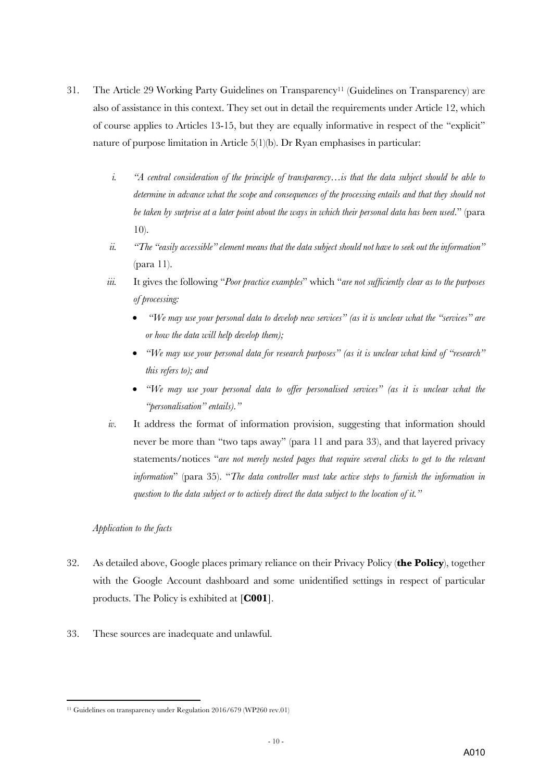- 31. The Article 29 Working Party Guidelines on Transparency11 (Guidelines on Transparency) are also of assistance in this context. They set out in detail the requirements under Article 12, which of course applies to Articles 13-15, but they are equally informative in respect of the "explicit" nature of purpose limitation in Article 5(1)(b). Dr Ryan emphasises in particular:
	- *i. "A central consideration of the principle of transparency…is that the data subject should be able to determine in advance what the scope and consequences of the processing entails and that they should not be taken by surprise at a later point about the ways in which their personal data has been used*." (para 10).
	- *ii. "The "easily accessible" element means that the data subject should not have to seek out the information"*  (para 11).
	- *iii.* It gives the following "*Poor practice examples*" which "*are not sufficiently clear as to the purposes of processing:*
		- *"We may use your personal data to develop new services" (as it is unclear what the "services" are or how the data will help develop them);*
		- *"We may use your personal data for research purposes" (as it is unclear what kind of "research" this refers to); and*
		- *"We may use your personal data to offer personalised services" (as it is unclear what the "personalisation" entails)."*
	- *iv.* It address the format of information provision, suggesting that information should never be more than "two taps away" (para 11 and para 33), and that layered privacy statements/notices "*are not merely nested pages that require several clicks to get to the relevant information*" (para 35). "*The data controller must take active steps to furnish the information in question to the data subject or to actively direct the data subject to the location of it."*

#### *Application to the facts*

- 32. As detailed above, Google places primary reliance on their Privacy Policy (**the Policy**), together with the Google Account dashboard and some unidentified settings in respect of particular products. The Policy is exhibited at [**C001**].
- 33. These sources are inadequate and unlawful.

<sup>&</sup>lt;sup>11</sup> Guidelines on transparency under Regulation 2016/679 (WP260 rev.01)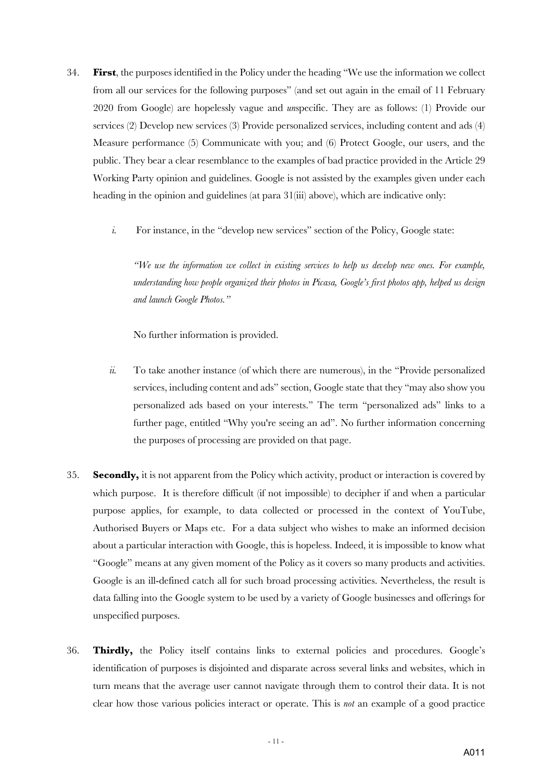- 34. **First**, the purposes identified in the Policy under the heading "We use the information we collect from all our services for the following purposes" (and set out again in the email of 11 February 2020 from Google) are hopelessly vague and *un*specific. They are as follows: (1) Provide our services (2) Develop new services (3) Provide personalized services, including content and ads (4) Measure performance (5) Communicate with you; and (6) Protect Google, our users, and the public. They bear a clear resemblance to the examples of bad practice provided in the Article 29 Working Party opinion and guidelines. Google is not assisted by the examples given under each heading in the opinion and guidelines (at para 31(iii) above), which are indicative only:
	- *i.* For instance, in the "develop new services" section of the Policy, Google state:

*"We use the information we collect in existing services to help us develop new ones. For example, understanding how people organized their photos in Picasa, Google's first photos app, helped us design and launch Google Photos."* 

No further information is provided.

- *ii.* To take another instance (of which there are numerous), in the "Provide personalized services, including content and ads" section, Google state that they "may also show you personalized ads based on your interests." The term "personalized ads" links to a further page, entitled "Why you're seeing an ad". No further information concerning the purposes of processing are provided on that page.
- 35. **Secondly,** it is not apparent from the Policy which activity, product or interaction is covered by which purpose. It is therefore difficult (if not impossible) to decipher if and when a particular purpose applies, for example, to data collected or processed in the context of YouTube, Authorised Buyers or Maps etc. For a data subject who wishes to make an informed decision about a particular interaction with Google, this is hopeless. Indeed, it is impossible to know what "Google" means at any given moment of the Policy as it covers so many products and activities. Google is an ill-defined catch all for such broad processing activities. Nevertheless, the result is data falling into the Google system to be used by a variety of Google businesses and offerings for unspecified purposes.
- 36. **Thirdly,** the Policy itself contains links to external policies and procedures. Google's identification of purposes is disjointed and disparate across several links and websites, which in turn means that the average user cannot navigate through them to control their data. It is not clear how those various policies interact or operate. This is *not* an example of a good practice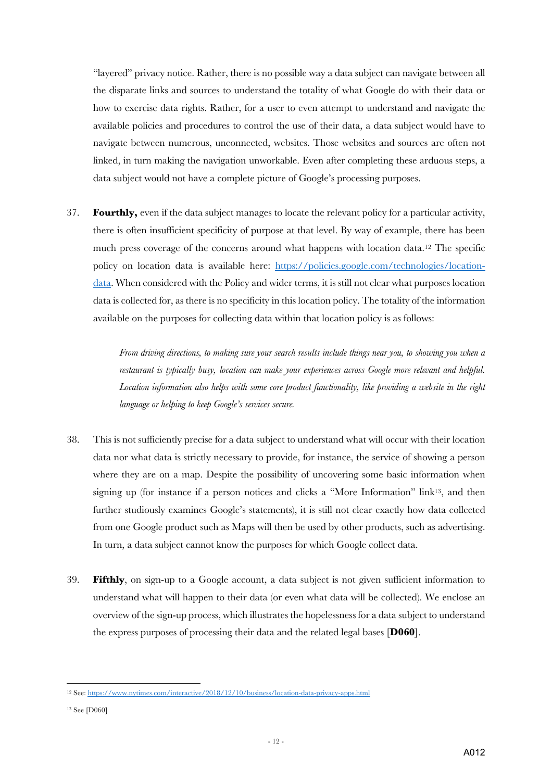"layered" privacy notice. Rather, there is no possible way a data subject can navigate between all the disparate links and sources to understand the totality of what Google do with their data or how to exercise data rights. Rather, for a user to even attempt to understand and navigate the available policies and procedures to control the use of their data, a data subject would have to navigate between numerous, unconnected, websites. Those websites and sources are often not linked, in turn making the navigation unworkable. Even after completing these arduous steps, a data subject would not have a complete picture of Google's processing purposes.

37. **Fourthly,** even if the data subject manages to locate the relevant policy for a particular activity, there is often insufficient specificity of purpose at that level. By way of example, there has been much press coverage of the concerns around what happens with location data.12 The specific policy on location data is available here: https://policies.google.com/technologies/locationdata. When considered with the Policy and wider terms, it is still not clear what purposes location data is collected for, as there is no specificity in this location policy. The totality of the information available on the purposes for collecting data within that location policy is as follows:

> *From driving directions, to making sure your search results include things near you, to showing you when a restaurant is typically busy, location can make your experiences across Google more relevant and helpful. Location information also helps with some core product functionality, like providing a website in the right language or helping to keep Google's services secure.*

- 38. This is not sufficiently precise for a data subject to understand what will occur with their location data nor what data is strictly necessary to provide, for instance, the service of showing a person where they are on a map. Despite the possibility of uncovering some basic information when signing up (for instance if a person notices and clicks a "More Information" link<sup>13</sup>, and then further studiously examines Google's statements), it is still not clear exactly how data collected from one Google product such as Maps will then be used by other products, such as advertising. In turn, a data subject cannot know the purposes for which Google collect data.
- 39. **Fifthly**, on sign-up to a Google account, a data subject is not given sufficient information to understand what will happen to their data (or even what data will be collected). We enclose an overview of the sign-up process, which illustrates the hopelessness for a data subject to understand the express purposes of processing their data and the related legal bases [**D060**].

<sup>12</sup> See: https://www.nytimes.com/interactive/2018/12/10/business/location-data-privacy-apps.html

<sup>13</sup> See [D060]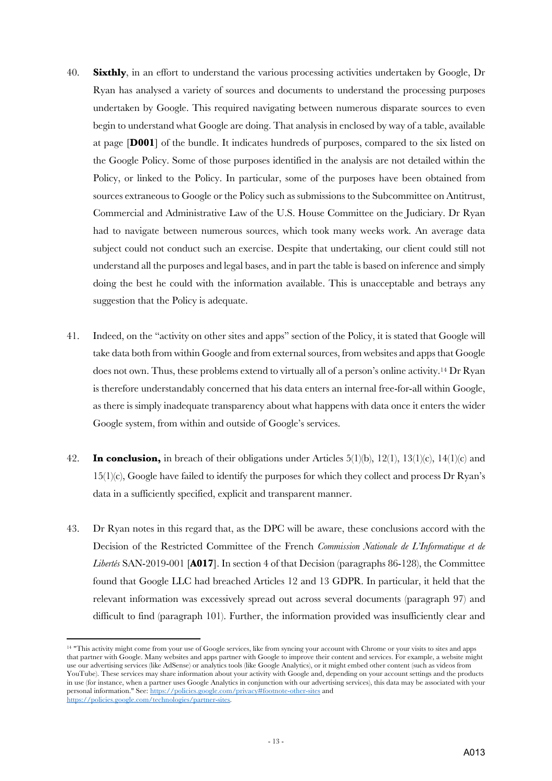- 40. **Sixthly**, in an effort to understand the various processing activities undertaken by Google, Dr Ryan has analysed a variety of sources and documents to understand the processing purposes undertaken by Google. This required navigating between numerous disparate sources to even begin to understand what Google are doing. That analysis in enclosed by way of a table, available at page [**D001**] of the bundle. It indicates hundreds of purposes, compared to the six listed on the Google Policy. Some of those purposes identified in the analysis are not detailed within the Policy, or linked to the Policy. In particular, some of the purposes have been obtained from sources extraneous to Google or the Policy such as submissions to the Subcommittee on Antitrust, Commercial and Administrative Law of the U.S. House Committee on the Judiciary. Dr Ryan had to navigate between numerous sources, which took many weeks work. An average data subject could not conduct such an exercise. Despite that undertaking, our client could still not understand all the purposes and legal bases, and in part the table is based on inference and simply doing the best he could with the information available. This is unacceptable and betrays any suggestion that the Policy is adequate.
- 41. Indeed, on the "activity on other sites and apps" section of the Policy, it is stated that Google will take data both from within Google and from external sources, from websites and apps that Google does not own. Thus, these problems extend to virtually all of a person's online activity.14 Dr Ryan is therefore understandably concerned that his data enters an internal free-for-all within Google, as there is simply inadequate transparency about what happens with data once it enters the wider Google system, from within and outside of Google's services.
- 42. **In conclusion,** in breach of their obligations under Articles 5(1)(b), 12(1), 13(1)(c), 14(1)(c) and  $15(1)(c)$ , Google have failed to identify the purposes for which they collect and process Dr Ryan's data in a sufficiently specified, explicit and transparent manner.
- 43. Dr Ryan notes in this regard that, as the DPC will be aware, these conclusions accord with the Decision of the Restricted Committee of the French *Commission Nationale de L'Informatique et de Libertés* SAN-2019-001 [**A017**]. In section 4 of that Decision (paragraphs 86-128), the Committee found that Google LLC had breached Articles 12 and 13 GDPR. In particular, it held that the relevant information was excessively spread out across several documents (paragraph 97) and difficult to find (paragraph 101). Further, the information provided was insufficiently clear and

<sup>&</sup>lt;sup>14</sup> "This activity might come from your use of Google services, like from syncing your account with Chrome or your visits to sites and apps that partner with Google. Many websites and apps partner with Google to improve their content and services. For example, a website might use our advertising services (like AdSense) or analytics tools (like Google Analytics), or it might embed other content (such as videos from YouTube). These services may share information about your activity with Google and, depending on your account settings and the products in use (for instance, when a partner uses Google Analytics in conjunction with our advertising services), this data may be associated with your personal information." See: https://policies.google.com/privacy#footnote-other-sites and https://policies.google.com/technologies/partner-sites.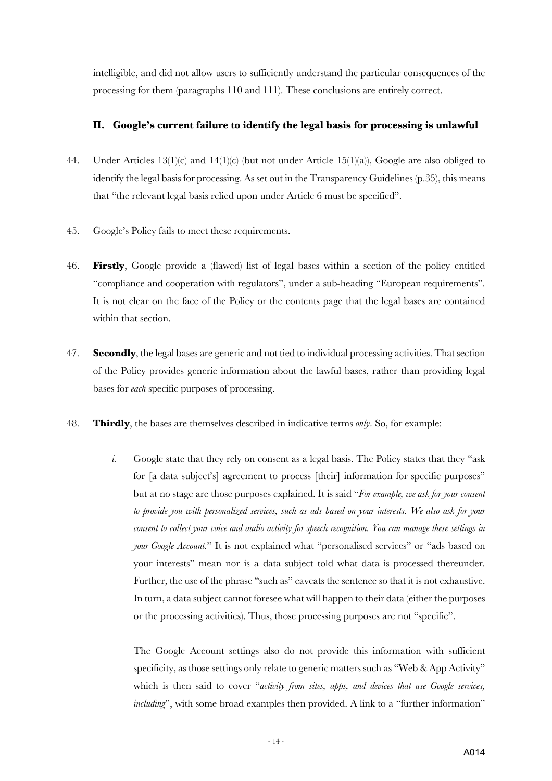intelligible, and did not allow users to sufficiently understand the particular consequences of the processing for them (paragraphs 110 and 111). These conclusions are entirely correct.

## **II. Google's current failure to identify the legal basis for processing is unlawful**

- 44. Under Articles 13(1)(c) and 14(1)(c) (but not under Article 15(1)(a)), Google are also obliged to identify the legal basis for processing. As set out in the Transparency Guidelines (p.35), this means that "the relevant legal basis relied upon under Article 6 must be specified".
- 45. Google's Policy fails to meet these requirements.
- 46. **Firstly**, Google provide a (flawed) list of legal bases within a section of the policy entitled "compliance and cooperation with regulators", under a sub-heading "European requirements". It is not clear on the face of the Policy or the contents page that the legal bases are contained within that section.
- 47. **Secondly**, the legal bases are generic and not tied to individual processing activities. That section of the Policy provides generic information about the lawful bases, rather than providing legal bases for *each* specific purposes of processing.
- 48. **Thirdly**, the bases are themselves described in indicative terms *only*. So, for example:
	- *i.* Google state that they rely on consent as a legal basis. The Policy states that they "ask for [a data subject's] agreement to process [their] information for specific purposes" but at no stage are those purposes explained. It is said "*For example, we ask for your consent to provide you with personalized services, such as ads based on your interests. We also ask for your consent to collect your voice and audio activity for speech recognition. You can manage these settings in your Google Account.*" It is not explained what "personalised services" or "ads based on your interests" mean nor is a data subject told what data is processed thereunder. Further, the use of the phrase "such as" caveats the sentence so that it is not exhaustive. In turn, a data subject cannot foresee what will happen to their data (either the purposes or the processing activities). Thus, those processing purposes are not "specific".

The Google Account settings also do not provide this information with sufficient specificity, as those settings only relate to generic matters such as "Web & App Activity" which is then said to cover "*activity from sites, apps, and devices that use Google services, including*", with some broad examples then provided. A link to a "further information"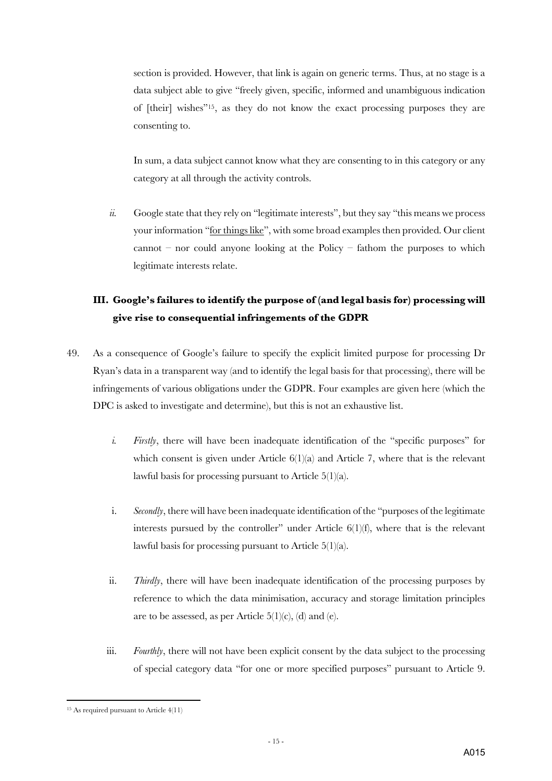section is provided. However, that link is again on generic terms. Thus, at no stage is a data subject able to give "freely given, specific, informed and unambiguous indication of [their] wishes"15, as they do not know the exact processing purposes they are consenting to.

In sum, a data subject cannot know what they are consenting to in this category or any category at all through the activity controls.

*ii.* Google state that they rely on "legitimate interests", but they say "this means we process your information "for things like", with some broad examples then provided. Our client cannot – nor could anyone looking at the Policy – fathom the purposes to which legitimate interests relate.

# **III. Google's failures to identify the purpose of (and legal basis for) processing will give rise to consequential infringements of the GDPR**

- 49. As a consequence of Google's failure to specify the explicit limited purpose for processing Dr Ryan's data in a transparent way (and to identify the legal basis for that processing), there will be infringements of various obligations under the GDPR. Four examples are given here (which the DPC is asked to investigate and determine), but this is not an exhaustive list.
	- *i. Firstly*, there will have been inadequate identification of the "specific purposes" for which consent is given under Article  $6(1)(a)$  and Article 7, where that is the relevant lawful basis for processing pursuant to Article  $5(1)(a)$ .
	- i. *Secondly*, there will have been inadequate identification of the "purposes of the legitimate interests pursued by the controller" under Article  $6(1)(f)$ , where that is the relevant lawful basis for processing pursuant to Article 5(1)(a).
	- ii. *Thirdly*, there will have been inadequate identification of the processing purposes by reference to which the data minimisation, accuracy and storage limitation principles are to be assessed, as per Article  $5(1)(c)$ , (d) and (e).
	- iii. *Fourthly*, there will not have been explicit consent by the data subject to the processing of special category data "for one or more specified purposes" pursuant to Article 9.

<sup>15</sup> As required pursuant to Article 4(11)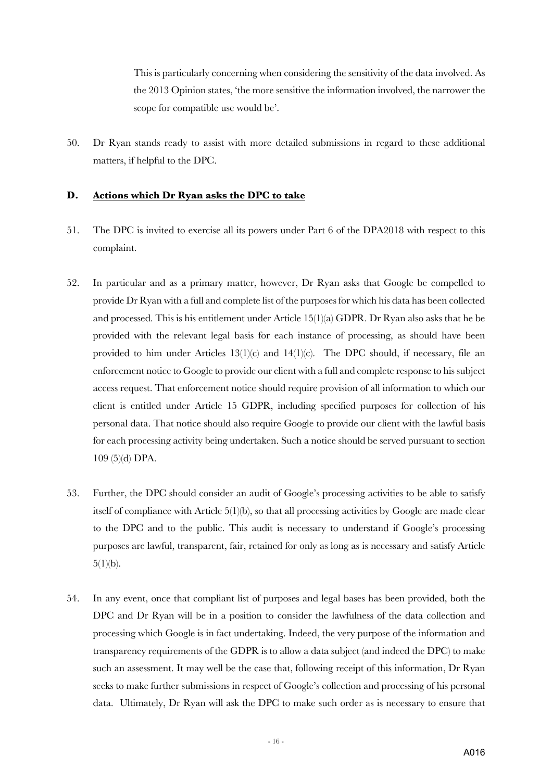This is particularly concerning when considering the sensitivity of the data involved. As the 2013 Opinion states, 'the more sensitive the information involved, the narrower the scope for compatible use would be'.

50. Dr Ryan stands ready to assist with more detailed submissions in regard to these additional matters, if helpful to the DPC.

#### **D. Actions which Dr Ryan asks the DPC to take**

- 51. The DPC is invited to exercise all its powers under Part 6 of the DPA2018 with respect to this complaint.
- 52. In particular and as a primary matter, however, Dr Ryan asks that Google be compelled to provide Dr Ryan with a full and complete list of the purposes for which his data has been collected and processed. This is his entitlement under Article 15(1)(a) GDPR. Dr Ryan also asks that he be provided with the relevant legal basis for each instance of processing, as should have been provided to him under Articles 13(1)(c) and 14(1)(c). The DPC should, if necessary, file an enforcement notice to Google to provide our client with a full and complete response to his subject access request. That enforcement notice should require provision of all information to which our client is entitled under Article 15 GDPR, including specified purposes for collection of his personal data. That notice should also require Google to provide our client with the lawful basis for each processing activity being undertaken. Such a notice should be served pursuant to section 109 (5)(d) DPA.
- 53. Further, the DPC should consider an audit of Google's processing activities to be able to satisfy itself of compliance with Article 5(1)(b), so that all processing activities by Google are made clear to the DPC and to the public. This audit is necessary to understand if Google's processing purposes are lawful, transparent, fair, retained for only as long as is necessary and satisfy Article  $5(1)(b)$ .
- 54. In any event, once that compliant list of purposes and legal bases has been provided, both the DPC and Dr Ryan will be in a position to consider the lawfulness of the data collection and processing which Google is in fact undertaking. Indeed, the very purpose of the information and transparency requirements of the GDPR is to allow a data subject (and indeed the DPC) to make such an assessment. It may well be the case that, following receipt of this information, Dr Ryan seeks to make further submissions in respect of Google's collection and processing of his personal data. Ultimately, Dr Ryan will ask the DPC to make such order as is necessary to ensure that